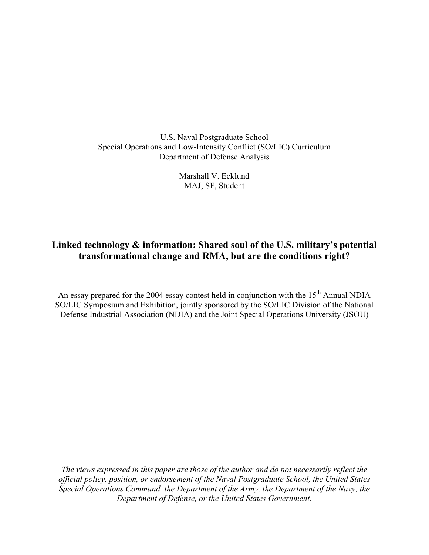U.S. Naval Postgraduate School Special Operations and Low-Intensity Conflict (SO/LIC) Curriculum Department of Defense Analysis

> Marshall V. Ecklund MAJ, SF, Student

## **Linked technology & information: Shared soul of the U.S. military's potential transformational change and RMA, but are the conditions right?**

An essay prepared for the 2004 essay contest held in conjunction with the  $15<sup>th</sup>$  Annual NDIA SO/LIC Symposium and Exhibition, jointly sponsored by the SO/LIC Division of the National Defense Industrial Association (NDIA) and the Joint Special Operations University (JSOU)

*The views expressed in this paper are those of the author and do not necessarily reflect the official policy, position, or endorsement of the Naval Postgraduate School, the United States Special Operations Command, the Department of the Army, the Department of the Navy, the Department of Defense, or the United States Government.*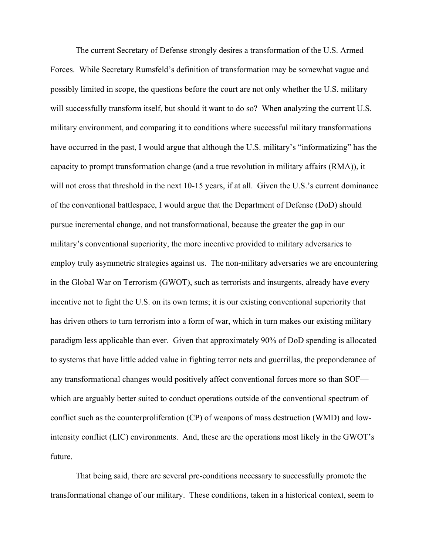The current Secretary of Defense strongly desires a transformation of the U.S. Armed Forces. While Secretary Rumsfeld's definition of transformation may be somewhat vague and possibly limited in scope, the questions before the court are not only whether the U.S. military will successfully transform itself, but should it want to do so? When analyzing the current U.S. military environment, and comparing it to conditions where successful military transformations have occurred in the past, I would argue that although the U.S. military's "informatizing" has the capacity to prompt transformation change (and a true revolution in military affairs (RMA)), it will not cross that threshold in the next 10-15 years, if at all. Given the U.S.'s current dominance of the conventional battlespace, I would argue that the Department of Defense (DoD) should pursue incremental change, and not transformational, because the greater the gap in our military's conventional superiority, the more incentive provided to military adversaries to employ truly asymmetric strategies against us. The non-military adversaries we are encountering in the Global War on Terrorism (GWOT), such as terrorists and insurgents, already have every incentive not to fight the U.S. on its own terms; it is our existing conventional superiority that has driven others to turn terrorism into a form of war, which in turn makes our existing military paradigm less applicable than ever. Given that approximately 90% of DoD spending is allocated to systems that have little added value in fighting terror nets and guerrillas, the preponderance of any transformational changes would positively affect conventional forces more so than SOF which are arguably better suited to conduct operations outside of the conventional spectrum of conflict such as the counterproliferation (CP) of weapons of mass destruction (WMD) and lowintensity conflict (LIC) environments. And, these are the operations most likely in the GWOT's future.

That being said, there are several pre-conditions necessary to successfully promote the transformational change of our military. These conditions, taken in a historical context, seem to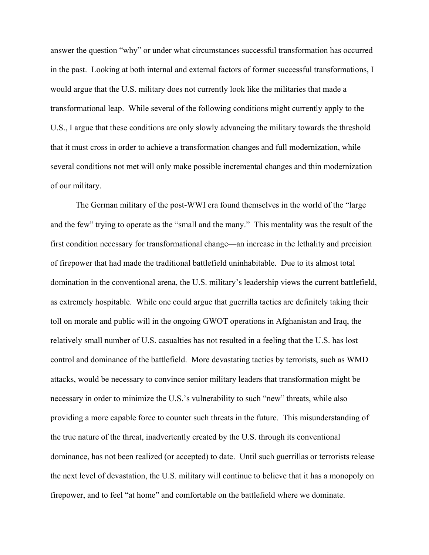answer the question "why" or under what circumstances successful transformation has occurred in the past. Looking at both internal and external factors of former successful transformations, I would argue that the U.S. military does not currently look like the militaries that made a transformational leap. While several of the following conditions might currently apply to the U.S., I argue that these conditions are only slowly advancing the military towards the threshold that it must cross in order to achieve a transformation changes and full modernization, while several conditions not met will only make possible incremental changes and thin modernization of our military.

The German military of the post-WWI era found themselves in the world of the "large and the few" trying to operate as the "small and the many." This mentality was the result of the first condition necessary for transformational change—an increase in the lethality and precision of firepower that had made the traditional battlefield uninhabitable. Due to its almost total domination in the conventional arena, the U.S. military's leadership views the current battlefield, as extremely hospitable. While one could argue that guerrilla tactics are definitely taking their toll on morale and public will in the ongoing GWOT operations in Afghanistan and Iraq, the relatively small number of U.S. casualties has not resulted in a feeling that the U.S. has lost control and dominance of the battlefield. More devastating tactics by terrorists, such as WMD attacks, would be necessary to convince senior military leaders that transformation might be necessary in order to minimize the U.S.'s vulnerability to such "new" threats, while also providing a more capable force to counter such threats in the future. This misunderstanding of the true nature of the threat, inadvertently created by the U.S. through its conventional dominance, has not been realized (or accepted) to date. Until such guerrillas or terrorists release the next level of devastation, the U.S. military will continue to believe that it has a monopoly on firepower, and to feel "at home" and comfortable on the battlefield where we dominate.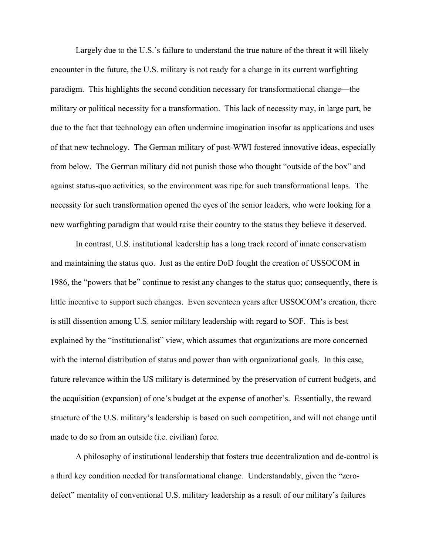Largely due to the U.S.'s failure to understand the true nature of the threat it will likely encounter in the future, the U.S. military is not ready for a change in its current warfighting paradigm. This highlights the second condition necessary for transformational change—the military or political necessity for a transformation. This lack of necessity may, in large part, be due to the fact that technology can often undermine imagination insofar as applications and uses of that new technology. The German military of post-WWI fostered innovative ideas, especially from below. The German military did not punish those who thought "outside of the box" and against status-quo activities, so the environment was ripe for such transformational leaps. The necessity for such transformation opened the eyes of the senior leaders, who were looking for a new warfighting paradigm that would raise their country to the status they believe it deserved.

In contrast, U.S. institutional leadership has a long track record of innate conservatism and maintaining the status quo. Just as the entire DoD fought the creation of USSOCOM in 1986, the "powers that be" continue to resist any changes to the status quo; consequently, there is little incentive to support such changes. Even seventeen years after USSOCOM's creation, there is still dissention among U.S. senior military leadership with regard to SOF. This is best explained by the "institutionalist" view, which assumes that organizations are more concerned with the internal distribution of status and power than with organizational goals. In this case, future relevance within the US military is determined by the preservation of current budgets, and the acquisition (expansion) of one's budget at the expense of another's. Essentially, the reward structure of the U.S. military's leadership is based on such competition, and will not change until made to do so from an outside (i.e. civilian) force.

A philosophy of institutional leadership that fosters true decentralization and de-control is a third key condition needed for transformational change. Understandably, given the "zerodefect" mentality of conventional U.S. military leadership as a result of our military's failures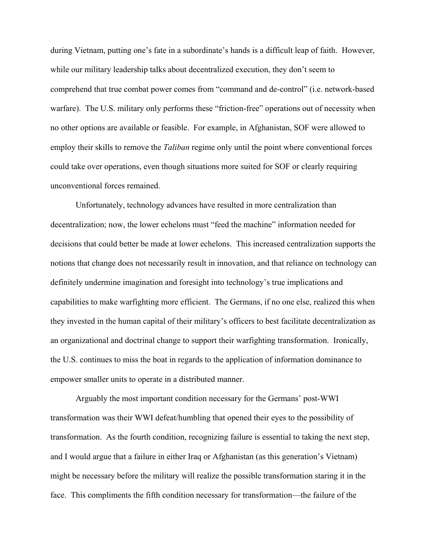during Vietnam, putting one's fate in a subordinate's hands is a difficult leap of faith. However, while our military leadership talks about decentralized execution, they don't seem to comprehend that true combat power comes from "command and de-control" (i.e. network-based warfare). The U.S. military only performs these "friction-free" operations out of necessity when no other options are available or feasible. For example, in Afghanistan, SOF were allowed to employ their skills to remove the *Taliban* regime only until the point where conventional forces could take over operations, even though situations more suited for SOF or clearly requiring unconventional forces remained.

Unfortunately, technology advances have resulted in more centralization than decentralization; now, the lower echelons must "feed the machine" information needed for decisions that could better be made at lower echelons. This increased centralization supports the notions that change does not necessarily result in innovation, and that reliance on technology can definitely undermine imagination and foresight into technology's true implications and capabilities to make warfighting more efficient. The Germans, if no one else, realized this when they invested in the human capital of their military's officers to best facilitate decentralization as an organizational and doctrinal change to support their warfighting transformation. Ironically, the U.S. continues to miss the boat in regards to the application of information dominance to empower smaller units to operate in a distributed manner.

Arguably the most important condition necessary for the Germans' post-WWI transformation was their WWI defeat/humbling that opened their eyes to the possibility of transformation. As the fourth condition, recognizing failure is essential to taking the next step, and I would argue that a failure in either Iraq or Afghanistan (as this generation's Vietnam) might be necessary before the military will realize the possible transformation staring it in the face. This compliments the fifth condition necessary for transformation—the failure of the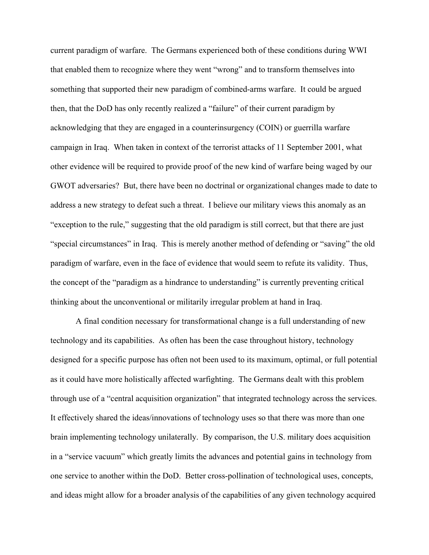current paradigm of warfare. The Germans experienced both of these conditions during WWI that enabled them to recognize where they went "wrong" and to transform themselves into something that supported their new paradigm of combined-arms warfare. It could be argued then, that the DoD has only recently realized a "failure" of their current paradigm by acknowledging that they are engaged in a counterinsurgency (COIN) or guerrilla warfare campaign in Iraq. When taken in context of the terrorist attacks of 11 September 2001, what other evidence will be required to provide proof of the new kind of warfare being waged by our GWOT adversaries? But, there have been no doctrinal or organizational changes made to date to address a new strategy to defeat such a threat. I believe our military views this anomaly as an "exception to the rule," suggesting that the old paradigm is still correct, but that there are just "special circumstances" in Iraq. This is merely another method of defending or "saving" the old paradigm of warfare, even in the face of evidence that would seem to refute its validity. Thus, the concept of the "paradigm as a hindrance to understanding" is currently preventing critical thinking about the unconventional or militarily irregular problem at hand in Iraq.

A final condition necessary for transformational change is a full understanding of new technology and its capabilities. As often has been the case throughout history, technology designed for a specific purpose has often not been used to its maximum, optimal, or full potential as it could have more holistically affected warfighting. The Germans dealt with this problem through use of a "central acquisition organization" that integrated technology across the services. It effectively shared the ideas/innovations of technology uses so that there was more than one brain implementing technology unilaterally. By comparison, the U.S. military does acquisition in a "service vacuum" which greatly limits the advances and potential gains in technology from one service to another within the DoD. Better cross-pollination of technological uses, concepts, and ideas might allow for a broader analysis of the capabilities of any given technology acquired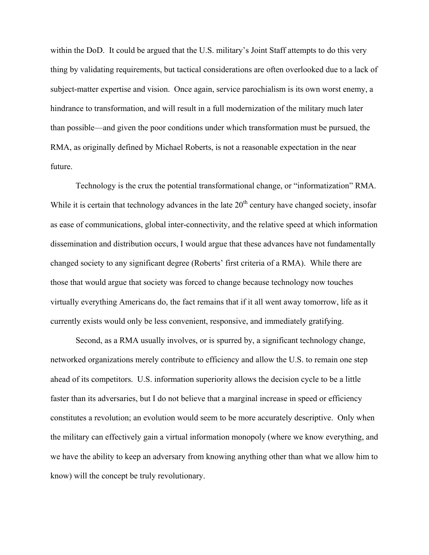within the DoD. It could be argued that the U.S. military's Joint Staff attempts to do this very thing by validating requirements, but tactical considerations are often overlooked due to a lack of subject-matter expertise and vision. Once again, service parochialism is its own worst enemy, a hindrance to transformation, and will result in a full modernization of the military much later than possible—and given the poor conditions under which transformation must be pursued, the RMA, as originally defined by Michael Roberts, is not a reasonable expectation in the near future.

Technology is the crux the potential transformational change, or "informatization" RMA. While it is certain that technology advances in the late  $20<sup>th</sup>$  century have changed society, insofar as ease of communications, global inter-connectivity, and the relative speed at which information dissemination and distribution occurs, I would argue that these advances have not fundamentally changed society to any significant degree (Roberts' first criteria of a RMA). While there are those that would argue that society was forced to change because technology now touches virtually everything Americans do, the fact remains that if it all went away tomorrow, life as it currently exists would only be less convenient, responsive, and immediately gratifying.

Second, as a RMA usually involves, or is spurred by, a significant technology change, networked organizations merely contribute to efficiency and allow the U.S. to remain one step ahead of its competitors. U.S. information superiority allows the decision cycle to be a little faster than its adversaries, but I do not believe that a marginal increase in speed or efficiency constitutes a revolution; an evolution would seem to be more accurately descriptive. Only when the military can effectively gain a virtual information monopoly (where we know everything, and we have the ability to keep an adversary from knowing anything other than what we allow him to know) will the concept be truly revolutionary.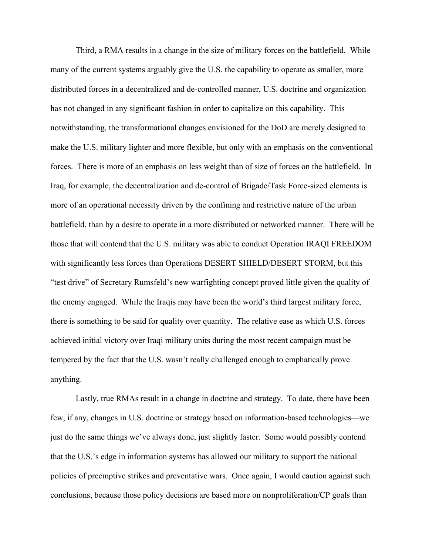Third, a RMA results in a change in the size of military forces on the battlefield. While many of the current systems arguably give the U.S. the capability to operate as smaller, more distributed forces in a decentralized and de-controlled manner, U.S. doctrine and organization has not changed in any significant fashion in order to capitalize on this capability. This notwithstanding, the transformational changes envisioned for the DoD are merely designed to make the U.S. military lighter and more flexible, but only with an emphasis on the conventional forces. There is more of an emphasis on less weight than of size of forces on the battlefield. In Iraq, for example, the decentralization and de-control of Brigade/Task Force-sized elements is more of an operational necessity driven by the confining and restrictive nature of the urban battlefield, than by a desire to operate in a more distributed or networked manner. There will be those that will contend that the U.S. military was able to conduct Operation IRAQI FREEDOM with significantly less forces than Operations DESERT SHIELD/DESERT STORM, but this "test drive" of Secretary Rumsfeld's new warfighting concept proved little given the quality of the enemy engaged. While the Iraqis may have been the world's third largest military force, there is something to be said for quality over quantity. The relative ease as which U.S. forces achieved initial victory over Iraqi military units during the most recent campaign must be tempered by the fact that the U.S. wasn't really challenged enough to emphatically prove anything.

Lastly, true RMAs result in a change in doctrine and strategy. To date, there have been few, if any, changes in U.S. doctrine or strategy based on information-based technologies—we just do the same things we've always done, just slightly faster. Some would possibly contend that the U.S.'s edge in information systems has allowed our military to support the national policies of preemptive strikes and preventative wars. Once again, I would caution against such conclusions, because those policy decisions are based more on nonproliferation/CP goals than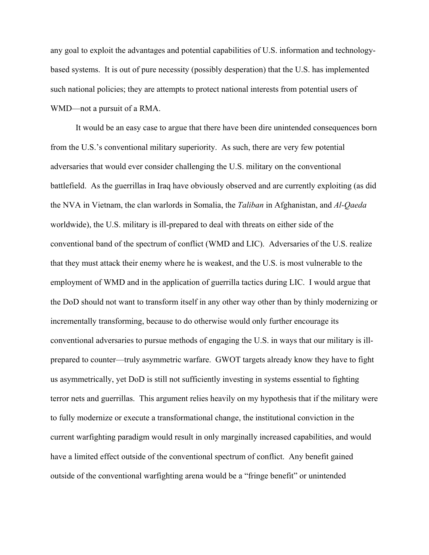any goal to exploit the advantages and potential capabilities of U.S. information and technologybased systems. It is out of pure necessity (possibly desperation) that the U.S. has implemented such national policies; they are attempts to protect national interests from potential users of WMD—not a pursuit of a RMA.

It would be an easy case to argue that there have been dire unintended consequences born from the U.S.'s conventional military superiority. As such, there are very few potential adversaries that would ever consider challenging the U.S. military on the conventional battlefield. As the guerrillas in Iraq have obviously observed and are currently exploiting (as did the NVA in Vietnam, the clan warlords in Somalia, the *Taliban* in Afghanistan, and *Al-Qaeda* worldwide), the U.S. military is ill-prepared to deal with threats on either side of the conventional band of the spectrum of conflict (WMD and LIC). Adversaries of the U.S. realize that they must attack their enemy where he is weakest, and the U.S. is most vulnerable to the employment of WMD and in the application of guerrilla tactics during LIC. I would argue that the DoD should not want to transform itself in any other way other than by thinly modernizing or incrementally transforming, because to do otherwise would only further encourage its conventional adversaries to pursue methods of engaging the U.S. in ways that our military is illprepared to counter—truly asymmetric warfare. GWOT targets already know they have to fight us asymmetrically, yet DoD is still not sufficiently investing in systems essential to fighting terror nets and guerrillas. This argument relies heavily on my hypothesis that if the military were to fully modernize or execute a transformational change, the institutional conviction in the current warfighting paradigm would result in only marginally increased capabilities, and would have a limited effect outside of the conventional spectrum of conflict. Any benefit gained outside of the conventional warfighting arena would be a "fringe benefit" or unintended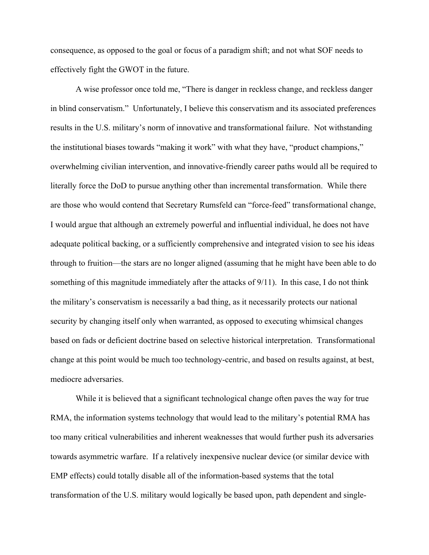consequence, as opposed to the goal or focus of a paradigm shift; and not what SOF needs to effectively fight the GWOT in the future.

A wise professor once told me, "There is danger in reckless change, and reckless danger in blind conservatism." Unfortunately, I believe this conservatism and its associated preferences results in the U.S. military's norm of innovative and transformational failure. Not withstanding the institutional biases towards "making it work" with what they have, "product champions," overwhelming civilian intervention, and innovative-friendly career paths would all be required to literally force the DoD to pursue anything other than incremental transformation. While there are those who would contend that Secretary Rumsfeld can "force-feed" transformational change, I would argue that although an extremely powerful and influential individual, he does not have adequate political backing, or a sufficiently comprehensive and integrated vision to see his ideas through to fruition—the stars are no longer aligned (assuming that he might have been able to do something of this magnitude immediately after the attacks of 9/11). In this case, I do not think the military's conservatism is necessarily a bad thing, as it necessarily protects our national security by changing itself only when warranted, as opposed to executing whimsical changes based on fads or deficient doctrine based on selective historical interpretation. Transformational change at this point would be much too technology-centric, and based on results against, at best, mediocre adversaries.

While it is believed that a significant technological change often paves the way for true RMA, the information systems technology that would lead to the military's potential RMA has too many critical vulnerabilities and inherent weaknesses that would further push its adversaries towards asymmetric warfare. If a relatively inexpensive nuclear device (or similar device with EMP effects) could totally disable all of the information-based systems that the total transformation of the U.S. military would logically be based upon, path dependent and single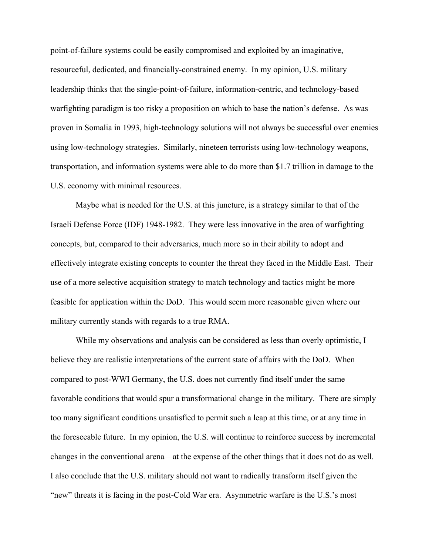point-of-failure systems could be easily compromised and exploited by an imaginative, resourceful, dedicated, and financially-constrained enemy. In my opinion, U.S. military leadership thinks that the single-point-of-failure, information-centric, and technology-based warfighting paradigm is too risky a proposition on which to base the nation's defense. As was proven in Somalia in 1993, high-technology solutions will not always be successful over enemies using low-technology strategies. Similarly, nineteen terrorists using low-technology weapons, transportation, and information systems were able to do more than \$1.7 trillion in damage to the U.S. economy with minimal resources.

Maybe what is needed for the U.S. at this juncture, is a strategy similar to that of the Israeli Defense Force (IDF) 1948-1982. They were less innovative in the area of warfighting concepts, but, compared to their adversaries, much more so in their ability to adopt and effectively integrate existing concepts to counter the threat they faced in the Middle East. Their use of a more selective acquisition strategy to match technology and tactics might be more feasible for application within the DoD. This would seem more reasonable given where our military currently stands with regards to a true RMA.

While my observations and analysis can be considered as less than overly optimistic, I believe they are realistic interpretations of the current state of affairs with the DoD. When compared to post-WWI Germany, the U.S. does not currently find itself under the same favorable conditions that would spur a transformational change in the military. There are simply too many significant conditions unsatisfied to permit such a leap at this time, or at any time in the foreseeable future. In my opinion, the U.S. will continue to reinforce success by incremental changes in the conventional arena—at the expense of the other things that it does not do as well. I also conclude that the U.S. military should not want to radically transform itself given the "new" threats it is facing in the post-Cold War era. Asymmetric warfare is the U.S.'s most